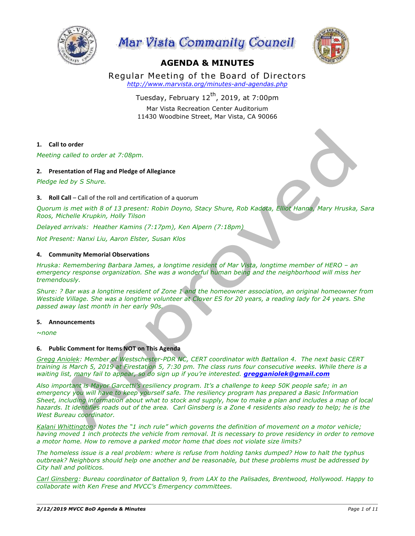





# **AGENDA & MINUTES**

Regular Meeting of the Board of Directors *http://www.marvista.org/minutes-and-agendas.php*

> Tuesday, February  $12^{th}$ , 2019, at 7:00pm Mar Vista Recreation Center Auditorium 11430 Woodbine Street, Mar Vista, CA 90066

# 1. **Call** to order

*Meeting called to order at 7:08pm.*

# 2. Presentation of Flag and Pledge of Allegiance

*Pledge led by S Shure.*

**3. Roll Call** – Call of the roll and certification of a quorum

*Quorum is met with 8 of 13 present: Robin Doyno, Stacy Shure, Rob Kadota, Elliot Hanna, Mary Hruska, Sara Roos, Michelle Krupkin, Holly Tilson*

*Delayed arrivals: Heather Kamins (7:17pm), Ken Alpern (7:18pm)*

*Not Present: Nanxi Liu, Aaron Elster, Susan Klos*

# **4. Community Memorial Observations**

*Hruska: Remembering Barbara James, a longtime resident of Mar Vista, longtime member of HERO – an emergency response organization. She was a wonderful human being and the neighborhood will miss her tremendously.*

*Shure: ? Bar was a longtime resident of Zone 1 and the homeowner association, an original homeowner from Westside Village. She was a longtime volunteer at Clover ES for 20 years, a reading lady for 24 years. She passed away last month in her early 90s.*

# **5. Announcements**

*~none*

# **6.** Public Comment for Items NOT on This Agenda

*Gregg Aniolek: Member of Westschester-PDR NC, CERT coordinator with Battalion 4. The next basic CERT training is March 5, 2019 at Firestation 5, 7:30 pm. The class runs four consecutive weeks. While there is a waiting list, many fail to appear, so do sign up if you're interested. gregganiolek@gmail.com*

*Also important is Mayor Garcetti's resiliency program. It's a challenge to keep 50K people safe; in an emergency you will have to keep yourself safe. The resiliency program has prepared a Basic Information Sheet, including information about what to stock and supply, how to make a plan and includes a map of local*  hazards. It identifies roads out of the area. Carl Ginsberg is a Zone 4 residents also ready to help; he is the *West Bureau coordinator.* 

*Kalani Whittington: Notes the "1 inch rule" which governs the definition of movement on a motor vehicle; having moved 1 inch protects the vehicle from removal. It is necessary to prove residency in order to remove a motor home. How to remove a parked motor home that does not violate size limits?*

*The homeless issue is a real problem: where is refuse from holding tanks dumped? How to halt the typhus outbreak? Neighbors should help one another and be reasonable, but these problems must be addressed by City hall and politicos.*

*Carl Ginsberg: Bureau coordinator of Battalion 9, from LAX to the Palisades, Brentwood, Hollywood. Happy to collaborate with Ken Frese and MVCC's Emergency committees.*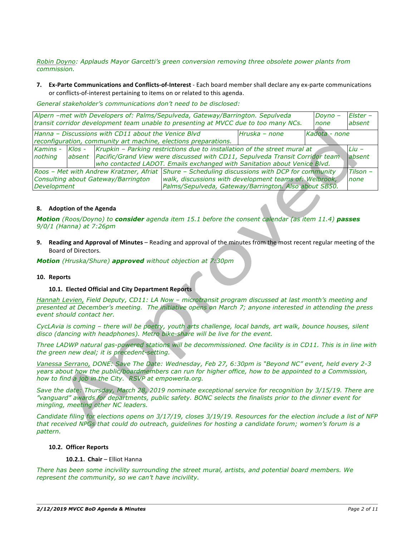*Robin Doyno: Applauds Mayor Garcetti's green conversion removing three obsolete power plants from commission.* 

**7. Ex-Parte Communications and Conflicts-of-Interest** - Each board member shall declare any ex-parte communications or conflicts-of-interest pertaining to items on or related to this agenda.

*General stakeholder's communications don't need to be disclosed:*

| Alpern -met with Developers of: Palms/Sepulveda, Gateway/Barrington. Sepulveda<br>transit corridor development team unable to presenting at MVCC due to too many NCs. |  |                                                                                                                                                                                                                                                                            |                                                                                                                 |  | Doyno -<br>none | Elster -<br>absent |
|-----------------------------------------------------------------------------------------------------------------------------------------------------------------------|--|----------------------------------------------------------------------------------------------------------------------------------------------------------------------------------------------------------------------------------------------------------------------------|-----------------------------------------------------------------------------------------------------------------|--|-----------------|--------------------|
| Hanna - Discussions with CD11 about the Venice Blvd<br>Hruska – none<br>reconfiguration, community art machine, elections preparations.                               |  |                                                                                                                                                                                                                                                                            |                                                                                                                 |  | Kadota - none   |                    |
| Kamins -<br>nothing                                                                                                                                                   |  | $K \sim$ Krupkin – Parking restrictions due to installation of the street mural at<br>$Liu -$<br>absent Pacific/Grand View were discussed with CD11, Sepulveda Transit Corridor team<br>absent<br>who contacted LADOT. Emails exchanged with Sanitation about Venice Blvd. |                                                                                                                 |  |                 |                    |
| Roos - Met with Andrew Kratzner, Afriat Shure - Scheduling discussions with DCP for community<br>Consulting about Gateway/Barrington<br>Development                   |  |                                                                                                                                                                                                                                                                            | walk, discussions with development teams of: Welbrook,<br>Palms/Sepulveda, Gateway/Barrington. Also about SB50. |  |                 | Tilson -<br>none   |

# **8. Adoption of the Agenda**

*Motion (Roos/Doyno) to consider agenda item 15.1 before the consent calendar (as item 11.4) passes 9/0/1 (Hanna) at 7:26pm*

**9.** Reading and Approval of Minutes – Reading and approval of the minutes from the most recent regular meeting of the Board of Directors. 

*Motion (Hruska/Shure) approved without objection at 7:30pm*

**10. Reports**

# **10.1. Elected Official and City Department Reports**

*Hannah Levien, Field Deputy, CD11: LA Now – microtransit program discussed at last month's meeting and presented at December's meeting. The initiative opens on March 7; anyone interested in attending the press event should contact her.*

*CycLAvia is coming – there will be poetry, youth arts challenge, local bands, art walk, bounce houses, silent disco (dancing with headphones). Metro bike-share will be live for the event.*

*Three LADWP natural gas-powered stations will be decommissioned. One facility is in CD11. This is in line with the green new deal; it is precedent-setting.* 

*Vanessa Serrano, DONE: Save The Date: Wednesday, Feb 27, 6:30pm is "Beyond NC" event, held every 2-3 years about how the public/boardmembers can run for higher office, how to be appointed to a Commission, how to find a job in the City. RSVP at empowerla.org.*

*Save the date: Thursday, March 28, 2019 nominate exceptional service for recognition by 3/15/19. There are "vanguard" awards for departments, public safety. BONC selects the finalists prior to the dinner event for mingling, meeting other NC leaders.*

*Candidate filing for elections opens on 3/17/19, closes 3/19/19. Resources for the election include a list of NFP that received NPGs that could do outreach, guidelines for hosting a candidate forum; women's forum is a pattern.*

# **10.2. Officer Reports**

# **10.2.1. Chair** – Elliot Hanna

*There has been some incivility surrounding the street mural, artists, and potential board members. We represent the community, so we can't have incivility.*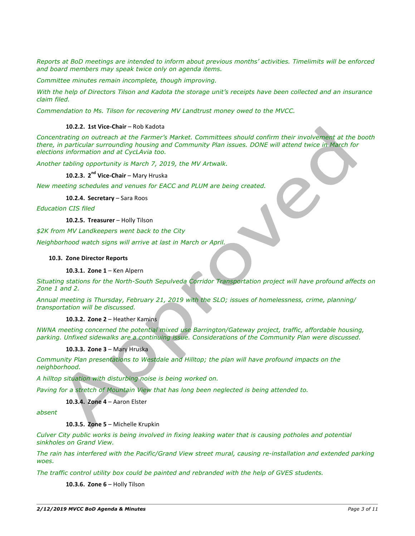*Reports at BoD meetings are intended to inform about previous months' activities. Timelimits will be enforced and board members may speak twice only on agenda items.*

*Committee minutes remain incomplete, though improving.* 

*With the help of Directors Tilson and Kadota the storage unit's receipts have been collected and an insurance claim filed.*

*Commendation to Ms. Tilson for recovering MV Landtrust money owed to the MVCC.*

# **10.2.2. 1st Vice-Chair** – Rob Kadota

*Concentrating on outreach at the Farmer's Market. Committees should confirm their involvement at the booth there, in particular surrounding housing and Community Plan issues. DONE will attend twice in March for elections information and at CycLAvia too.*

*Another tabling opportunity is March 7, 2019, the MV Artwalk.* 

**10.2.3. 2nd Vice-Chair** – Mary Hruska

*New meeting schedules and venues for EACC and PLUM are being created.*

**10.2.4. Secretary** – Sara Roos

*Education CIS filed*

10.2.5. Treasurer - Holly Tilson

*\$2K from MV Landkeepers went back to the City*

*Neighborhood watch signs will arrive at last in March or April.*

# **10.3. Zone Director Reports**

**10.3.1. Zone 1 – Ken Alpern** 

*Situating stations for the North-South Sepulveda Corridor Transportation project will have profound affects on Zone 1 and 2.*

*Annual meeting is Thursday, February 21, 2019 with the SLO; issues of homelessness, crime, planning/ transportation will be discussed.*

**10.3.2. Zone 2 – Heather Kamins** 

*NWNA meeting concerned the potential mixed use Barrington/Gateway project, traffic, affordable housing, parking. Unfixed sidewalks are a continuing issue. Considerations of the Community Plan were discussed.*

# **10.3.3. Zone 3 – Mary Hruska**

*Community Plan presentations to Westdale and Hilltop; the plan will have profound impacts on the neighborhood.* 

*A hilltop situation with disturbing noise is being worked on.*

*Paving for a stretch of Mountain View that has long been neglected is being attended to.*

**10.3.4. Zone 4 – Aaron Elster** 

*absent*

10.3.5. Zone 5 - Michelle Krupkin

*Culver City public works is being involved in fixing leaking water that is causing potholes and potential sinkholes on Grand View.*

*The rain has interfered with the Pacific/Grand View street mural, causing re-installation and extended parking woes.*

*The traffic control utility box could be painted and rebranded with the help of GVES students.*

**10.3.6. Zone 6 - Holly Tilson**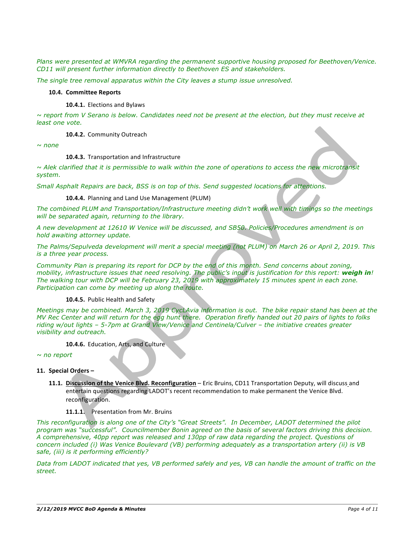*Plans were presented at WMVRA regarding the permanent supportive housing proposed for Beethoven/Venice. CD11 will present further information directly to Beethoven ES and stakeholders.*

*The single tree removal apparatus within the City leaves a stump issue unresolved.*

#### **10.4. Committee Reports**

**10.4.1.** Elections and Bylaws

*~ report from V Serano is below. Candidates need not be present at the election, but they must receive at least one vote.*

10.4.2. Community Outreach

*~ none*

10.4.3. Transportation and Infrastructure

*~ Alek clarified that it is permissible to walk within the zone of operations to access the new microtransit system.*

*Small Asphalt Repairs are back, BSS is on top of this. Send suggested locations for attentions.*

#### 10.4.4. Planning and Land Use Management (PLUM)

*The combined PLUM and Transportation/Infrastructure meeting didn't work well with timings so the meetings will be separated again, returning to the library.*

*A new development at 12610 W Venice will be discussed, and SB50. Policies/Procedures amendment is on hold awaiting attorney update.*

*The Palms/Sepulveda development will merit a special meeting (not PLUM) on March 26 or April 2, 2019. This is a three year process.*

*Community Plan is preparing its report for DCP by the end of this month. Send concerns about zoning, mobility, infrastructure issues that need resolving. The public's input is justification for this report: weigh in! The walking tour with DCP will be February 23, 2019 with approximately 15 minutes spent in each zone. Participation can come by meeting up along the route.*

# 10.4.5. Public Health and Safety

*Meetings may be combined. March 3, 2019 CycLAvia information is out. The bike repair stand has been at the MV Rec Center and will return for the egg hunt there. Operation firefly handed out 20 pairs of lights to folks riding w/out lights – 5-7pm at Grand View/Venice and Centinela/Culver – the initiative creates greater visibility and outreach.*

# 10.4.6. Education, Arts, and Culture

*~ no report*

# 11. **Special Orders** -

**11.1.** Discussion of the Venice Blvd. Reconfiguration - Eric Bruins, CD11 Transportation Deputy, will discuss and entertain questions regarding LADOT's recent recommendation to make permanent the Venice Blvd. reconfiguration.

#### **11.1.1.** Presentation from Mr. Bruins

*This reconfiguration is along one of the City's "Great Streets". In December, LADOT determined the pilot program was "successful". Councilmember Bonin agreed on the basis of several factors driving this decision. A comprehensive, 40pp report was released and 130pp of raw data regarding the project. Questions of concern included (i) Was Venice Boulevard (VB) performing adequately as a transportation artery (ii) is VB safe, (iii) is it performing efficiently?* 

*Data from LADOT indicated that yes, VB performed safely and yes, VB can handle the amount of traffic on the street.*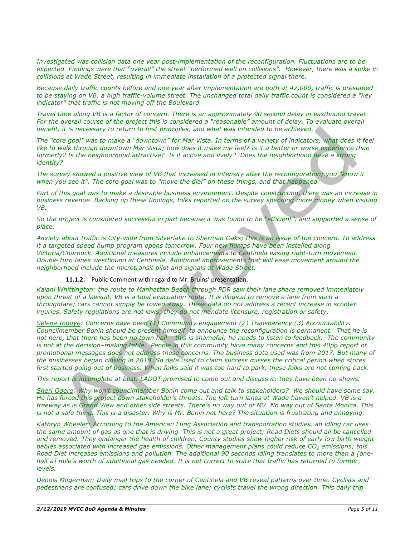*Investigated was collision data one year post-implementation of the reconfiguration. Fluctuations are to be expected. Findings were that "overall" the street "performed well on collisions". However, there was a spike in collisions at Wade Street, resulting in immediate installation of a protected signal there.* 

*Because daily traffic counts before and one year after implementation are both at 47,000, traffic is presumed to be staying on VB, a high traffic-volume street. The unchanged total daily traffic count is considered a "key indicator" that traffic is not moving off the Boulevard.*

*Travel time along VB is a factor of concern. There is an approximately 90 second delay in eastbound travel.*  For the overall course of the project this is considered a "reasonable" amount of delay. To evaluate overall *benefit, it is necessary to return to first principles, and what was intended to be achieved.*

*The "core goal" was to make a "downtown" for Mar Vista. In terms of a variety of indicators, what does it feel like to walk through downtown Mar Vista; how does it make me feel? Is it a better or worse experience than formerly? Is the neighborhood attractive? Is it active and lively? Does the neighborhood have a strong identity?* 

*The survey showed a positive view of VB that increased in intensity after the reconfiguration; you "know it when you see it". The core goal was to "move the dial" on these things, and that happened.*

*Part of this goal was to make a desirable business environment. Despite construction, there was an increase in business revenue. Backing up these findings, folks reported on the survey spending more money when visiting VB.*

*So the project is considered successful in part because it was found to be "efficient", and supported a sense of place.*

*Anxiety about traffic is City-wide from Silverlake to Sherman Oaks; this is an issue of top concern. To address it a targeted speed hump program opens tomorrow. Four new humps have been installed along Victoria/Charnock. Additional measures include enhancements to Centinela easing right-turn movement. Double turn lanes westbound at Centinela. Additional improvements that will ease movement around the neighborhood include the microtransit pilot and signals at Wade Street.*

**11.1.2.** Public Comment with regard to Mr. Bruins' presentation.

*Kalani Whittington: the route to Manhattan Beach through PDR saw their lane share removed immediately upon threat of a lawsuit. VB is a tidal evacuation route. It is illogical to remove a lane from such a throughfare; cars cannot simply be towed away. These data do not address a recent increase in scooter injuries. Safety regulations are not laws; they do not mandate licensure, registration or safety.*

*Selena Inouye: Concerns have been (1) Community engagement (2) Transparency (3) Accountability. Councilmember Bonin should be present himself to announce the reconfiguration is permanent. That he is not here, that there has been no town hall – this is shameful; he needs to listen to feedback. The community is not at the decision–making table. People in this community have many concerns and this 40pp report of promotional messages does not address these concerns. The business data used was from 2017. But many of the businesses began closing in 2018. So data used to claim success misses the critical period when stores first started going out of business. When folks said it was too hard to park, these folks are not coming back.*

*This report is incomplete at best. LADOT promised to come out and discuss it; they have been no-shows.*

*Sheri Odere: Why won't councilmember Bonin come out and talk to stakeholders? We should have some say. He has forced this project down stakeholder's throats. The left turn lanes at Wade haven't helped. VB is a freeway as is Grand View and other side streets. There's no way out of MV. No way out of Santa Monica. This is not a safe thing. This is a disaster. Why is Mr. Bonin not here? The situation is frustrating and annoying.* 

*Kathryn Wheeler: According to the American Lung Association and transportation studies, an idling car uses the same amount of gas as one that is driving. This is not a great project; Road Diets should all be cancelled and removed. They endanger the health of children. County studies show higher risk of early low birth weight babies associated with increased gas emissions. Other management plans could reduce CO<sub>2</sub> emissions; this Road Diet increases emissions and pollution. The additional 90 seconds idling translates to more than a [onehalf a] mile's worth of additional gas needed. It is not correct to state that traffic has returned to former levels.*

*Dennis Mogerman: Daily mail trips to the corner of Centinela and VB reveal patterns over time. Cyclists and pedestrians are confused; cars drive down the bike lane; cyclists travel the wrong direction. This daily trip*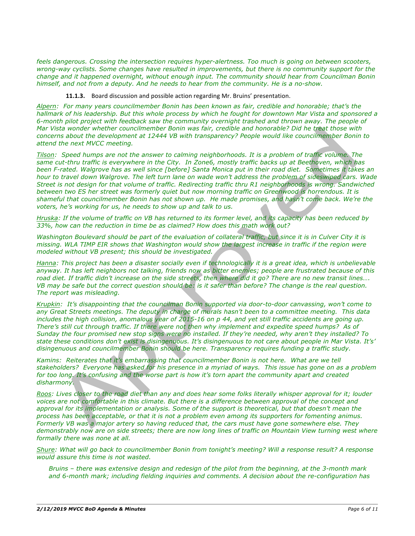*feels dangerous. Crossing the intersection requires hyper-alertness. Too much is going on between scooters, wrong-way cyclists. Some changes have resulted in improvements, but there is no community support for the change and it happened overnight, without enough input. The community should hear from Councilman Bonin himself, and not from a deputy. And he needs to hear from the community. He is a no-show.*

**11.1.3.** Board discussion and possible action regarding Mr. Bruins' presentation.

*Alpern: For many years councilmember Bonin has been known as fair, credible and honorable; that's the hallmark of his leadership. But this whole process by which he fought for downtown Mar Vista and sponsored a 6-month pilot project with feedback saw the community overnight trashed and thrown away. The people of Mar Vista wonder whether councilmember Bonin was fair, credible and honorable? Did he treat those with concerns about the development at 12444 VB with transparency? People would like councilmember Bonin to attend the next MVCC meeting.*

*Tilson: Speed humps are not the answer to calming neighborhoods. It is a problem of traffic volume. The same cut-thru traffic is everywhere in the City. In Zone6, mostly traffic backs up at Beethoven, which has been F-rated. Walgrove has as well since [before] Santa Monica put in their road diet. Sometimes it takes an hour to travel down Walgrove. The left turn lane on wade won't address the problem of sideswiped cars. Wade Street is not design for that volume of traffic. Redirecting traffic thru R1 neighborhoods is wrong. Sandwiched between two ES her street was formerly quiet but now morning traffic on Greenwood is horrendous. It is shameful that councilmember Bonin has not shown up. He made promises, and hasn't come back. We're the voters, he's working for us, he needs to show up and talk to us.* 

*Hruska: If the volume of traffic on VB has returned to its former level, and its capacity has been reduced by 33%, how can the reduction in time be as claimed? How does this math work out?*

*Washington Boulevard should be part of the evaluation of collateral traffic, but since it is in Culver City it is missing. WLA TIMP EIR shows that Washington would show the largest increase in traffic if the region were modeled without VB present; this should be investigated.*

*Hanna: This project has been a disaster socially even if technologically it is a great idea, which is unbelievable anyway. It has left neighbors not talking, friends now as bitter enemies; people are frustrated because of this road diet. If traffic didn't increase on the side streets, then where did it go? There are no new transit lines…. VB may be safe but the correct question should be: is it safer than before? The change is the real question. The report was misleading.*

*Krupkin: It's disappointing that the councilman Bonin supported via door-to-door canvassing, won't come to any Great Streets meetings. The deputy in charge of murals hasn't been to a committee meeting. This data includes the high collision, anomalous year of 2015-16 on p 44, and yet still traffic accidents are going up. There's still cut through traffic. If there were not then why implement and expedite speed humps? As of Sunday the four promised new stop signs were no installed. If they're needed, why aren't they installed? To state these conditions don't exist is disingenuous. It's disingenuous to not care about people in Mar Vista. It's' disingenuous and councilmember Bonin should be here. Transparency requires funding a traffic study.* 

*Kamins: Reiterates that it's embarrassing that councilmember Bonin is not here. What are we tell stakeholders? Everyone has asked for his presence in a myriad of ways. This issue has gone on as a problem for too long. It's confusing and the worse part is how it's torn apart the community apart and created disharmony.* 

*Roos: Lives closer to the road diet than any and does hear some folks literally whisper approval for it; louder voices are not comfortable in this climate. But there is a difference between approval of the concept and approval for its implementation or analysis. Some of the support is theoretical, but that doesn't mean the process has been acceptable, or that it is not a problem even among its supporters for fomenting animus. Formerly VB was a major artery so having reduced that, the cars must have gone somewhere else. They demonstrably now are on side streets; there are now long lines of traffic on Mountain View turning west where formally there was none at all.*

*Shure: What will go back to councilmember Bonin from tonight's meeting? Will a response result? A response would assure this time is not wasted.*

*Bruins – there was extensive design and redesign of the pilot from the beginning, at the 3-month mark and 6-month mark; including fielding inquiries and comments. A decision about the re-configuration has*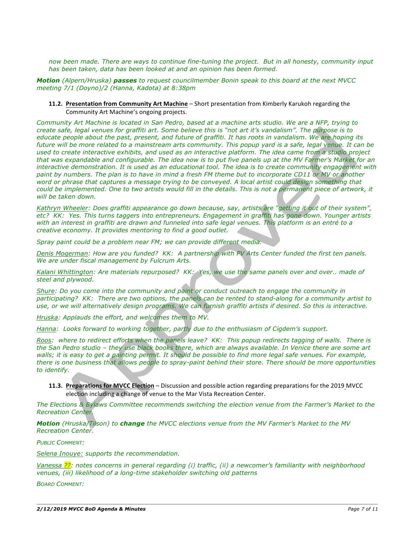*now been made. There are ways to continue fine-tuning the project. But in all honesty, community input has been taken, data has been looked at and an opinion has been formed.* 

*Motion (Alpern/Hruska) passes to request councilmember Bonin speak to this board at the next MVCC meeting 7/1 (Doyno)/2 (Hanna, Kadota) at 8:38pm* 

**11.2. Presentation from Community Art Machine** – Short presentation from Kimberly Karukoh regarding the Community Art Machine's ongoing projects.

*Community Art Machine is located in San Pedro, based at a machine arts studio. We are a NFP, trying to create safe, legal venues for graffiti art. Some believe this is "not art it's vandalism". The purpose is to educate people about the past, present, and future of graffiti. It has roots in vandalism. We are hoping its future will be more related to a mainstream arts community. This popup yard is a safe, legal venue. It can be used to create interactive exhibits, and used as an interactive platform. The idea came from a studio project that was expandable and configurable. The idea now is to put five panels up at the MV Farmer's Market for an interactive demonstration. It is used as an educational tool. The idea is to create community engagement with paint by numbers. The plan is to have in mind a fresh FM theme but to incorporate CD11 or MV or another word or phrase that captures a message trying to be conveyed. A local artist could design something that could be implemented. One to two artists would fill in the details. This is not a permanent piece of artwork, it will be taken down.* 

*Kathryn Wheeler: Does graffiti appearance go down because, say, artists are "getting it out of their system", etc? KK: Yes. This turns taggers into entrepreneurs. Engagement in graffiti has gone down. Younger artists with an interest in graffiti are drawn and funneled into safe legal venues. This platform is an entré to a creative economy. It provides mentoring to find a good outlet.*

*Spray paint could be a problem near FM; we can provide different media.*

*Denis Mogerman: How are you funded? KK: A partnership with PV Arts Center funded the first ten panels. We are under fiscal management by Fulcrum Arts.*

*Kalani Whittington: Are materials repurposed? KK: Yes, we use the same panels over and over.. made of steel and plywood.*

*Shure: Do you come into the community and paint or conduct outreach to engage the community in participating? KK: There are two options, the panels can be rented to stand-along for a community artist to use, or we will alternatively design programs. We can furnish graffiti artists if desired. So this is interactive.*

*Hruska: Applauds the effort, and welcomes them to MV.*

*Hanna: Looks forward to working together, partly due to the enthusiasm of Cigdem's support.*

*Roos: where to redirect efforts when the panels leave? KK: This popup redirects tagging of walls. There is the San Pedro studio – they use black books there, which are always available. In Venice there are some art walls; it is easy to get a painting permit. It should be possible to find more legal safe venues. For example, there is one business that allows people to spray-paint behind their store. There should be more opportunities to identify.* 

**11.3. Preparations for MVCC Election** – Discussion and possible action regarding preparations for the 2019 MVCC election including a change of venue to the Mar Vista Recreation Center.

*The Elections & Bylaws Committee recommends switching the election venue from the Farmer's Market to the Recreation Center.*

*Motion (Hruska/Tilson) to change the MVCC elections venue from the MV Farmer's Market to the MV Recreation Center.*

*PUBLIC COMMENT:*

*Selena Inouye: supports the recommendation.* 

*Vanessa ??: notes concerns in general regarding (i) traffic, (ii) a newcomer's familiarity with neighborhood venues, (iii) likelihood of a long-time stakeholder switching old patterns*

*BOARD COMMENT:*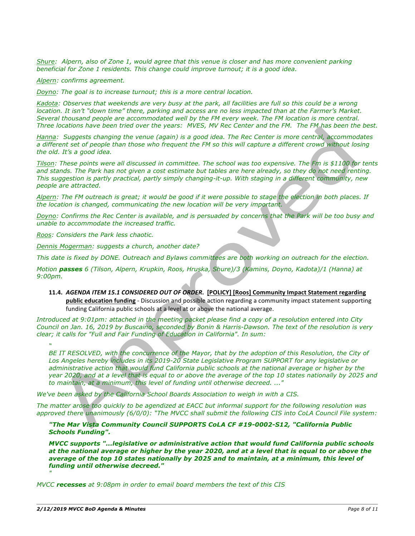*Shure: Alpern, also of Zone 1, would agree that this venue is closer and has more convenient parking beneficial for Zone 1 residents. This change could improve turnout; it is a good idea.*

*Alpern: confirms agreement.*

*Doyno: The goal is to increase turnout; this is a more central location.*

*Kadota: Observes that weekends are very busy at the park, all facilities are full so this could be a wrong location. It isn't "down time" there, parking and access are no less impacted than at the Farmer's Market. Several thousand people are accommodated well by the FM every week. The FM location is more central. Three locations have been tried over the years: MVES, MV Rec Center and the FM. The FM has been the best.*

*Hanna: Suggests changing the venue (again) is a good idea. The Rec Center is more central, accommodates a different set of people than those who frequent the FM so this will capture a different crowd without losing the old. It's a good idea.* 

*Tilson: These points were all discussed in committee. The school was too expensive. The Fm is \$1100 for tents and stands. The Park has not given a cost estimate but tables are here already, so they do not need renting. This suggestion is partly practical, partly simply changing-it-up. With staging in a different community, new people are attracted.*

*Alpern: The FM outreach is great; it would be good if it were possible to stage the election in both places. If the location is changed, communicating the new location will be very important.*

*Doyno: Confirms the Rec Center is available, and is persuaded by concerns that the Park will be too busy and unable to accommodate the increased traffic.*

*Roos: Considers the Park less chaotic.*

*Dennis Mogerman: suggests a church, another date?*

*This date is fixed by DONE. Outreach and Bylaws committees are both working on outreach for the election.*

*Motion passes 6 (Tilson, Alpern, Krupkin, Roos, Hruska, Shure)/3 (Kamins, Doyno, Kadota)/1 (Hanna) at 9:00pm.*

11.4. *AGENDA ITEM 15.1 CONSIDERED OUT OF ORDER*. [POLICY] [Roos] Community Impact Statement regarding **public education funding** - Discussion and possible action regarding a community impact statement supporting funding California public schools at a level at or above the national average.

*Introduced at 9:01pm: attached in the meeting packet please find a copy of a resolution entered into City Council on Jan. 16, 2019 by Buscaino, seconded by Bonin & Harris-Dawson. The text of the resolution is very clear; it calls for "Full and Fair Funding of Education in California". In sum:*

*"*

*"*

*BE IT RESOLVED, with the concurrence of the Mayor, that by the adoption of this Resolution, the City of Los Angeles hereby includes in its 2019-20 State Legislative Program SUPPORT for any legislative or administrative action that would fund California public schools at the national average or higher by the year 2020, and at a level that is equal to or above the average of the top 10 states nationally by 2025 and to maintain, at a minimum, this level of funding until otherwise decreed. ..."*

*We've been asked by the California School Boards Association to weigh in with a CIS.*

*The matter arose too quickly to be agendized at EACC but informal support for the following resolution was approved there unanimously (6/0/0): "The MVCC shall submit the following CIS into CoLA Council File system:*

*"The Mar Vista Community Council SUPPORTS CoLA CF #19-0002-S12, "California Public Schools Funding".*

*MVCC supports "...legislative or administrative action that would fund California public schools at the national average or higher by the year 2020, and at a level that is equal to or above the average of the top 10 states nationally by 2025 and to maintain, at a minimum, this level of funding until otherwise decreed."*

*MVCC recesses at 9:08pm in order to email board members the text of this CIS*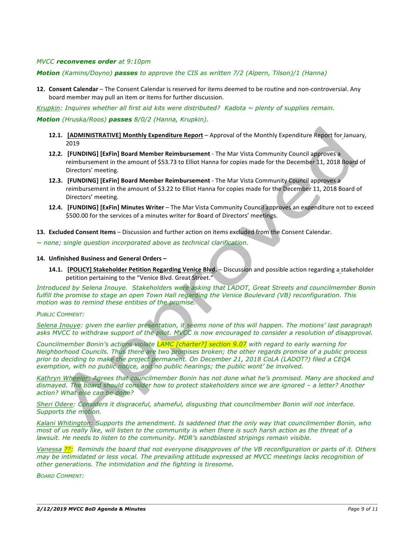# *MVCC reconvenes order at 9:10pm*

# *Motion (Kamins/Doyno) passes to approve the CIS as written 7/2 (Alpern, Tilson)/1 (Hanna)*

**12. Consent Calendar** – The Consent Calendar is reserved for items deemed to be routine and non-controversial. Any board member may pull an item or items for further discussion.

*Krupkin: Inquires whether all first aid kits were distributed? Kadota ~ plenty of supplies remain.*

# *Motion (Hruska/Roos) passes 8/0/2 (Hanna, Krupkin).*

- **12.1.** [ADMINISTRATIVE] Monthly Expenditure Report Approval of the Monthly Expenditure Report for January, 2019
- **12.2. [FUNDING]** [ExFin] Board Member Reimbursement The Mar Vista Community Council approves a reimbursement in the amount of \$53.73 to Elliot Hanna for copies made for the December 11, 2018 Board of Directors' meeting.
- **12.3. [FUNDING] [ExFin] Board Member Reimbursement** The Mar Vista Community Council approves a reimbursement in the amount of \$3.22 to Elliot Hanna for copies made for the December 11, 2018 Board of Directors' meeting.
- **12.4. [FUNDING]** [ExFin] Minutes Writer The Mar Vista Community Council approves an expenditure not to exceed \$500.00 for the services of a minutes writer for Board of Directors' meetings.

**13. Excluded Consent Items** – Discussion and further action on items excluded from the Consent Calendar.

*~ none; single question incorporated above as technical clarification.*

#### 14. Unfinished Business and General Orders -

**14.1. [POLICY] Stakeholder Petition Regarding Venice Blvd.** – Discussion and possible action regarding a stakeholder petition pertaining to the "Venice Blvd. Great Street.'

*Introduced by Selena Inouye. Stakeholders were asking that LADOT, Great Streets and councilmember Bonin fulfill the promise to stage an open Town Hall regarding the Venice Boulevard (VB) reconfiguration. This motion was to remind these entities of the promise.* 

#### *PUBLIC COMMENT:*

*Selena Inouye: given the earlier presentation, it seems none of this will happen. The motions' last paragraph asks MVCC to withdraw support of the pilot. MVCC is now encouraged to consider a resolution of disapproval.* 

*Councilmember Bonin's actions violate LAMC [charter?] section 9.07 with regard to early warning for Neighborhood Councils. Thus there are two promises broken; the other regards promise of a public process prior to deciding to make the project permanent. On December 21, 2018 CoLA (LADOT?) filed a CEQA exemption, with no public notice, and no public hearings; the public wont' be involved.*

*Kathryn Wheeler: Agrees that councilmember Bonin has not done what he's promised. Many are shocked and dismayed. The board should consider how to protect stakeholders since we are ignored – a letter? Another action? What else can be done?*

*Sheri Odere: Considers it disgraceful, shameful, disgusting that councilmember Bonin will not interface. Supports the motion.*

*Kalani Whitington: Supports the amendment. Is saddened that the only way that councilmember Bonin, who most of us really like, will listen to the community is when there is such harsh action as the threat of a lawsuit. He needs to listen to the community. MDR's sandblasted stripings remain visible.*

*Vanessa ??: Reminds the board that not everyone disapproves of the VB reconfiguration or parts of it. Others may be intimidated or less vocal. The prevailing attitude expressed at MVCC meetings lacks recognition of other generations. The intimidation and the fighting is tiresome.* 

*BOARD COMMENT:*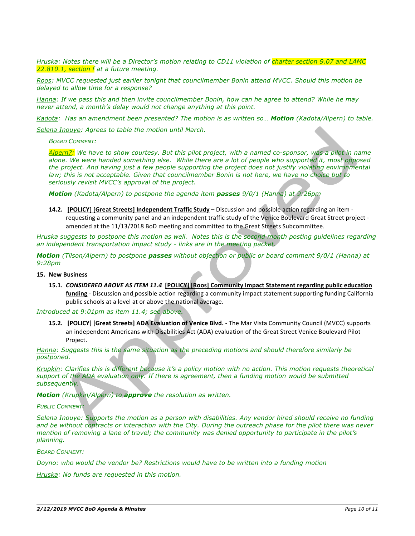*Hruska: Notes there will be a Director's motion relating to CD11 violation of charter section 9.07 and LAMC 22.810.1, section f at a future meeting.*

*Roos: MVCC requested just earlier tonight that councilmember Bonin attend MVCC. Should this motion be delayed to allow time for a response?*

*Hanna: If we pass this and then invite councilmember Bonin, how can he agree to attend? While he may never attend, a month's delay would not change anything at this point.*

*Kadota: Has an amendment been presented? The motion is as written so… Motion (Kadota/Alpern) to table.* 

*Selena Inouye: Agrees to table the motion until March.*

*BOARD COMMENT:*

*Alpern?: We have to show courtesy. But this pilot project, with a named co-sponsor, was a pilot in name alone. We were handed something else. While there are a lot of people who supported it, most opposed the project. And having just a few people supporting the project does not justify violating environmental law; this is not acceptable. Given that councilmember Bonin is not here, we have no choice but to seriously revisit MVCC's approval of the project.*

*Motion (Kadota/Alpern) to postpone the agenda item passes 9/0/1 (Hanna) at 9:26pm*

**14.2.** [POLICY] [Great Streets] Independent Traffic Study – Discussion and possible action regarding an item requesting a community panel and an independent traffic study of the Venice Boulevard Great Street project amended at the 11/13/2018 BoD meeting and committed to the Great Streets Subcommittee.

*Hruska suggests to postpone this motion as well. Notes this is the second month posting guidelines regarding an independent transportation impact study - links are in the meeting packet.*

*Motion (Tilson/Alpern) to postpone passes without objection or public or board comment 9/0/1 (Hanna) at 9:28pm*

#### **15. New Business**

**15.1.** *CONSIDERED ABOVE AS ITEM 11.4* [POLICY] [Roos] Community Impact Statement regarding public education **funding** - Discussion and possible action regarding a community impact statement supporting funding California public schools at a level at or above the national average.

*Introduced at 9:01pm as item 11.4; see above.*

**15.2. [POLICY]** [Great Streets] ADA Evaluation of Venice Blvd. - The Mar Vista Community Council (MVCC) supports an independent Americans with Disabilities Act (ADA) evaluation of the Great Street Venice Boulevard Pilot Project.

*Hanna: Suggests this is the same situation as the preceding motions and should therefore similarly be postponed.*

*Krupkin: Clarifies this is different because it's a policy motion with no action. This motion requests theoretical support of the ADA evaluation only. If there is agreement, then a funding motion would be submitted subsequently.* 

*Motion (Krupkin/Alpern) to approve the resolution as written.*

#### *PUBLIC COMMENT:*

*Selena Inouye: Supports the motion as a person with disabilities. Any vendor hired should receive no funding and be without contracts or interaction with the City. During the outreach phase for the pilot there was never mention of removing a lane of travel; the community was denied opportunity to participate in the pilot's planning.*

*BOARD COMMENT:*

*Doyno: who would the vendor be? Restrictions would have to be written into a funding motion*

*Hruska: No funds are requested in this motion.*